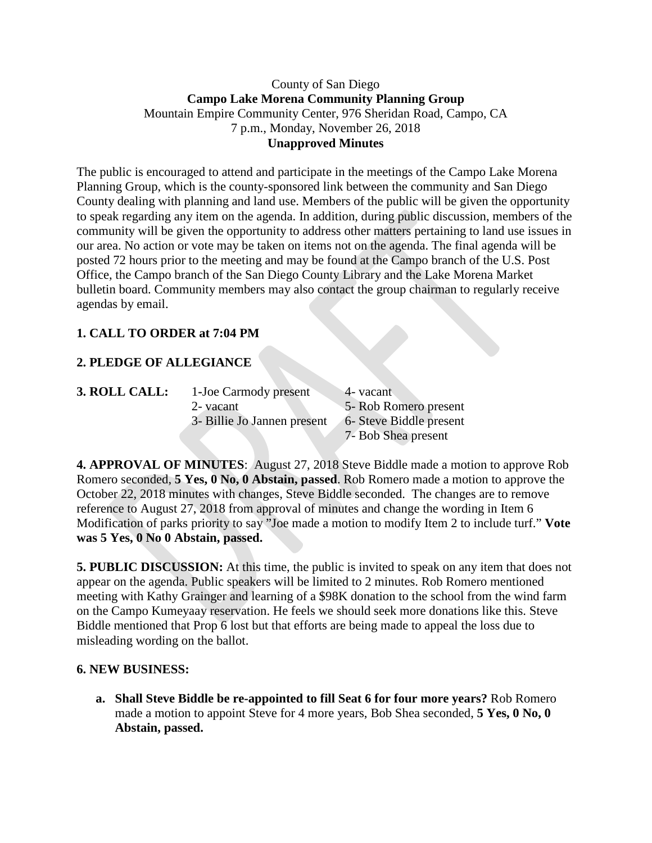### County of San Diego **Campo Lake Morena Community Planning Group** Mountain Empire Community Center, 976 Sheridan Road, Campo, CA 7 p.m., Monday, November 26, 2018 **Unapproved Minutes**

The public is encouraged to attend and participate in the meetings of the Campo Lake Morena Planning Group, which is the county-sponsored link between the community and San Diego County dealing with planning and land use. Members of the public will be given the opportunity to speak regarding any item on the agenda. In addition, during public discussion, members of the community will be given the opportunity to address other matters pertaining to land use issues in our area. No action or vote may be taken on items not on the agenda. The final agenda will be posted 72 hours prior to the meeting and may be found at the Campo branch of the U.S. Post Office, the Campo branch of the San Diego County Library and the Lake Morena Market bulletin board. Community members may also contact the group chairman to regularly receive agendas by email.

# **1. CALL TO ORDER at 7:04 PM**

# **2. PLEDGE OF ALLEGIANCE**

| <b>3. ROLL CALL:</b> | 1-Joe Carmody present       | 4- vacant               |
|----------------------|-----------------------------|-------------------------|
|                      | 2- vacant                   | 5- Rob Romero present   |
|                      | 3- Billie Jo Jannen present | 6- Steve Biddle present |
|                      |                             | 7- Bob Shea present     |

**4. APPROVAL OF MINUTES**: August 27, 2018 Steve Biddle made a motion to approve Rob Romero seconded, **5 Yes, 0 No, 0 Abstain, passed**. Rob Romero made a motion to approve the October 22, 2018 minutes with changes, Steve Biddle seconded. The changes are to remove reference to August 27, 2018 from approval of minutes and change the wording in Item 6 Modification of parks priority to say "Joe made a motion to modify Item 2 to include turf." **Vote was 5 Yes, 0 No 0 Abstain, passed.**

**5. PUBLIC DISCUSSION:** At this time, the public is invited to speak on any item that does not appear on the agenda. Public speakers will be limited to 2 minutes. Rob Romero mentioned meeting with Kathy Grainger and learning of a \$98K donation to the school from the wind farm on the Campo Kumeyaay reservation. He feels we should seek more donations like this. Steve Biddle mentioned that Prop 6 lost but that efforts are being made to appeal the loss due to misleading wording on the ballot.

#### **6. NEW BUSINESS:**

**a. Shall Steve Biddle be re-appointed to fill Seat 6 for four more years?** Rob Romero made a motion to appoint Steve for 4 more years, Bob Shea seconded, **5 Yes, 0 No, 0 Abstain, passed.**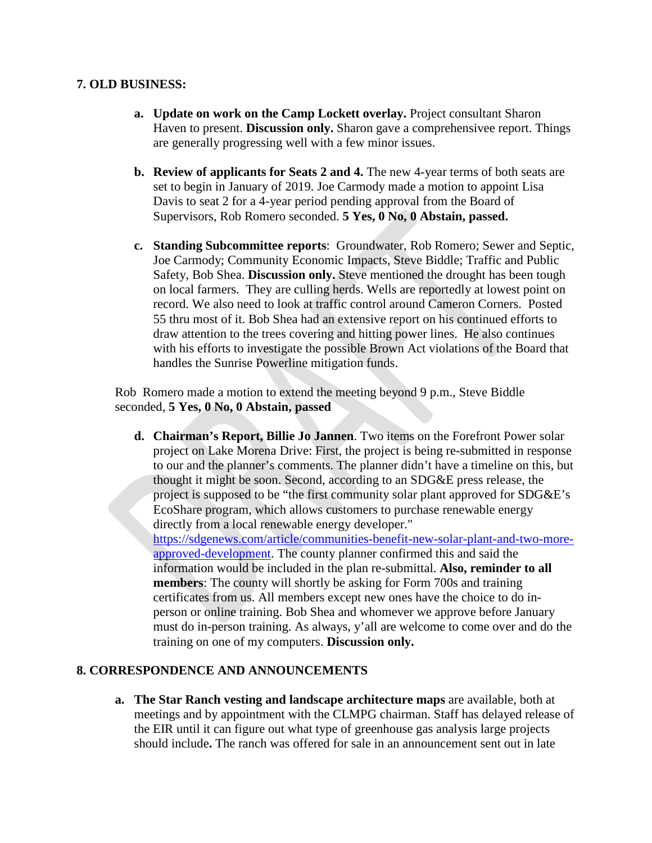### **7. OLD BUSINESS:**

- **a. Update on work on the Camp Lockett overlay.** Project consultant Sharon Haven to present. **Discussion only.** Sharon gave a comprehensivee report. Things are generally progressing well with a few minor issues.
- **b. Review of applicants for Seats 2 and 4.** The new 4-year terms of both seats are set to begin in January of 2019. Joe Carmody made a motion to appoint Lisa Davis to seat 2 for a 4-year period pending approval from the Board of Supervisors, Rob Romero seconded. **5 Yes, 0 No, 0 Abstain, passed.**
- **c. Standing Subcommittee reports**: Groundwater, Rob Romero; Sewer and Septic, Joe Carmody; Community Economic Impacts, Steve Biddle; Traffic and Public Safety, Bob Shea. **Discussion only.** Steve mentioned the drought has been tough on local farmers. They are culling herds. Wells are reportedly at lowest point on record. We also need to look at traffic control around Cameron Corners. Posted 55 thru most of it. Bob Shea had an extensive report on his continued efforts to draw attention to the trees covering and hitting power lines. He also continues with his efforts to investigate the possible Brown Act violations of the Board that handles the Sunrise Powerline mitigation funds.

Rob Romero made a motion to extend the meeting beyond 9 p.m., Steve Biddle seconded, **5 Yes, 0 No, 0 Abstain, passed**

**d. Chairman's Report, Billie Jo Jannen**. Two items on the Forefront Power solar project on Lake Morena Drive: First, the project is being re-submitted in response to our and the planner's comments. The planner didn't have a timeline on this, but thought it might be soon. Second, according to an SDG&E press release, the project is supposed to be "the first community solar plant approved for SDG&E's EcoShare program, which allows customers to purchase renewable energy directly from a local renewable energy developer." [https://sdgenews.com/article/communities-benefit-new-solar-plant-and-two-more](https://sdgenews.com/article/communities-benefit-new-solar-plant-and-two-more-approved-development)[approved-development.](https://sdgenews.com/article/communities-benefit-new-solar-plant-and-two-more-approved-development) The county planner confirmed this and said the information would be included in the plan re-submittal. **Also, reminder to all members**: The county will shortly be asking for Form 700s and training certificates from us. All members except new ones have the choice to do inperson or online training. Bob Shea and whomever we approve before January must do in-person training. As always, y'all are welcome to come over and do the training on one of my computers. **Discussion only.**

## **8. CORRESPONDENCE AND ANNOUNCEMENTS**

**a. The Star Ranch vesting and landscape architecture maps** are available, both at meetings and by appointment with the CLMPG chairman. Staff has delayed release of the EIR until it can figure out what type of greenhouse gas analysis large projects should include**.** The ranch was offered for sale in an announcement sent out in late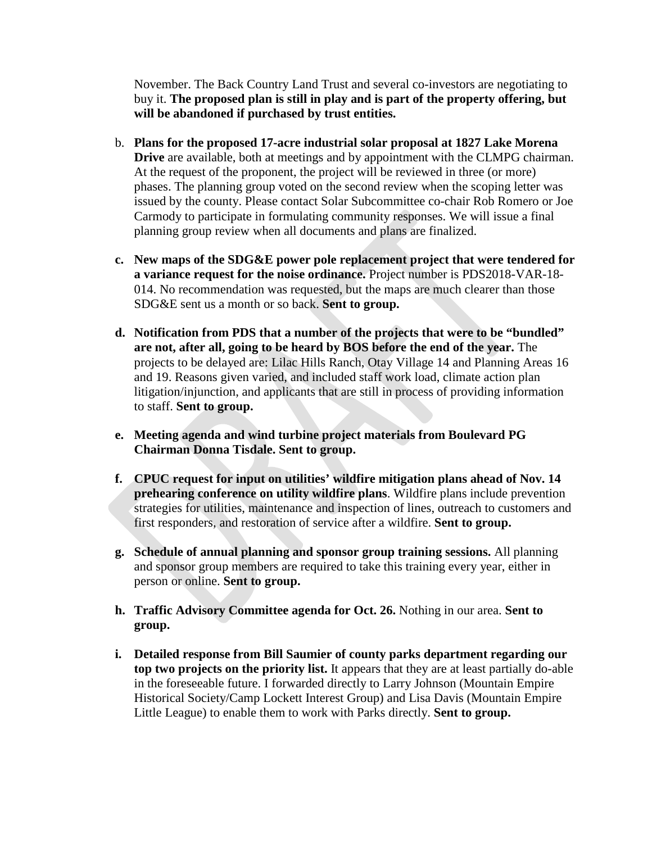November. The Back Country Land Trust and several co-investors are negotiating to buy it. **The proposed plan is still in play and is part of the property offering, but will be abandoned if purchased by trust entities.**

- b. **Plans for the proposed 17-acre industrial solar proposal at 1827 Lake Morena Drive** are available, both at meetings and by appointment with the CLMPG chairman. At the request of the proponent, the project will be reviewed in three (or more) phases. The planning group voted on the second review when the scoping letter was issued by the county. Please contact Solar Subcommittee co-chair Rob Romero or Joe Carmody to participate in formulating community responses. We will issue a final planning group review when all documents and plans are finalized.
- **c. New maps of the SDG&E power pole replacement project that were tendered for a variance request for the noise ordinance.** Project number is PDS2018-VAR-18- 014. No recommendation was requested, but the maps are much clearer than those SDG&E sent us a month or so back. **Sent to group.**
- **d. Notification from PDS that a number of the projects that were to be "bundled" are not, after all, going to be heard by BOS before the end of the year.** The projects to be delayed are: Lilac Hills Ranch, Otay Village 14 and Planning Areas 16 and 19. Reasons given varied, and included staff work load, climate action plan litigation/injunction, and applicants that are still in process of providing information to staff. **Sent to group.**
- **e. Meeting agenda and wind turbine project materials from Boulevard PG Chairman Donna Tisdale. Sent to group.**
- **f. CPUC request for input on utilities' wildfire mitigation plans ahead of Nov. 14 prehearing conference on utility wildfire plans**. Wildfire plans include prevention strategies for utilities, maintenance and inspection of lines, outreach to customers and first responders, and restoration of service after a wildfire. **Sent to group.**
- **g. Schedule of annual planning and sponsor group training sessions.** All planning and sponsor group members are required to take this training every year, either in person or online. **Sent to group.**
- **h. Traffic Advisory Committee agenda for Oct. 26.** Nothing in our area. **Sent to group.**
- **i. Detailed response from Bill Saumier of county parks department regarding our top two projects on the priority list.** It appears that they are at least partially do-able in the foreseeable future. I forwarded directly to Larry Johnson (Mountain Empire Historical Society/Camp Lockett Interest Group) and Lisa Davis (Mountain Empire Little League) to enable them to work with Parks directly. **Sent to group.**